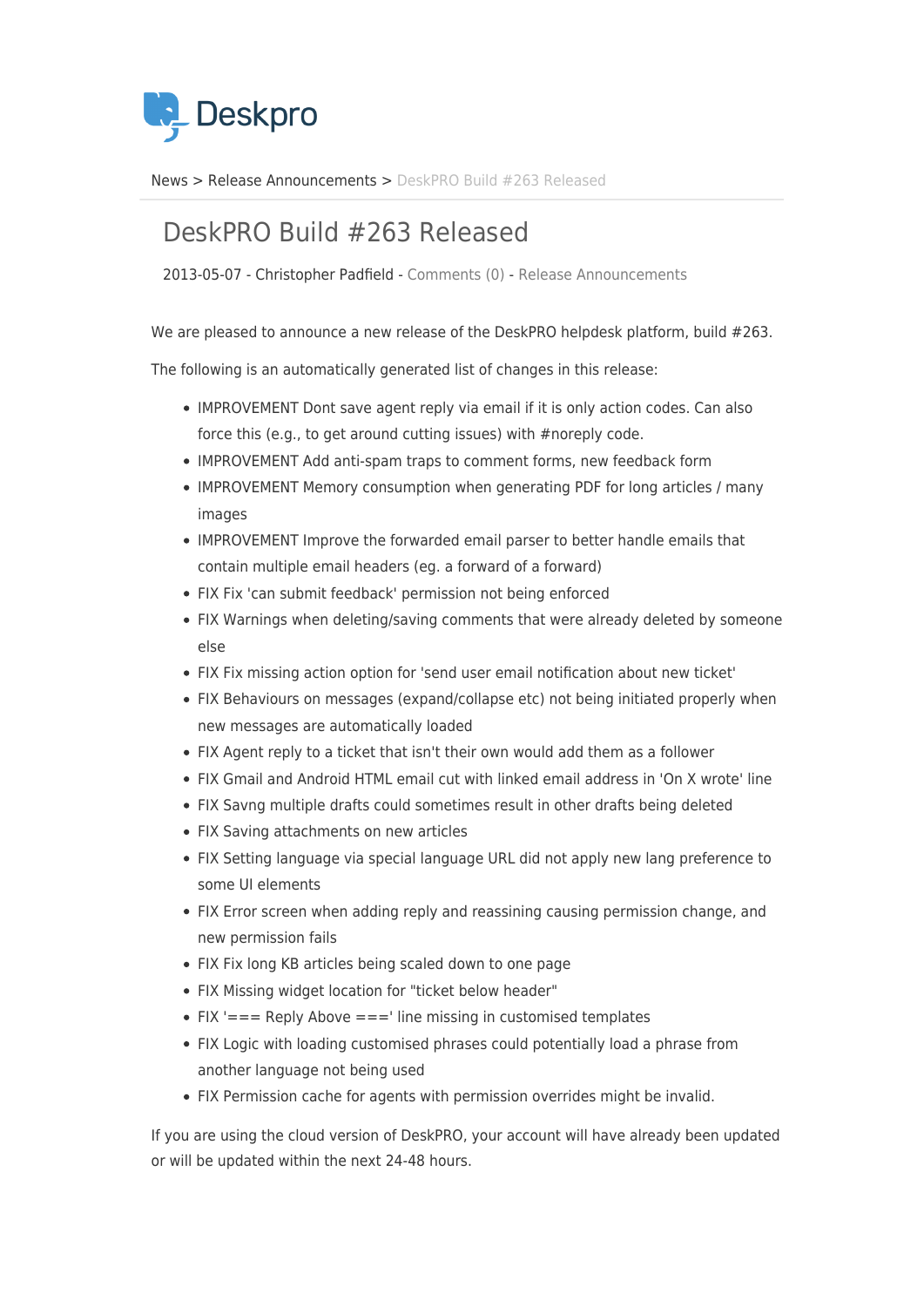

[News](https://support.deskpro.com/da/news) > [Release Announcements](https://support.deskpro.com/da/news/release-announcements) > [DeskPRO Build #263 Released](https://support.deskpro.com/da/news/posts/deskpro-build-263-released-2)

## DeskPRO Build #263 Released

2013-05-07 - Christopher Padfield - [Comments \(0\)](#page--1-0) - [Release Announcements](https://support.deskpro.com/da/news/release-announcements)

We are pleased to announce a new release of the DeskPRO helpdesk platform, build #263.

The following is an automatically generated list of changes in this release:

- IMPROVEMENT Dont save agent reply via email if it is only action codes. Can also force this (e.g., to get around cutting issues) with #noreply code.
- IMPROVEMENT Add anti-spam traps to comment forms, new feedback form
- IMPROVEMENT Memory consumption when generating PDF for long articles / many images
- IMPROVEMENT Improve the forwarded email parser to better handle emails that contain multiple email headers (eg. a forward of a forward)
- FIX Fix 'can submit feedback' permission not being enforced
- FIX Warnings when deleting/saving comments that were already deleted by someone else
- FIX Fix missing action option for 'send user email notification about new ticket'
- FIX Behaviours on messages (expand/collapse etc) not being initiated properly when new messages are automatically loaded
- FIX Agent reply to a ticket that isn't their own would add them as a follower
- FIX Gmail and Android HTML email cut with linked email address in 'On X wrote' line
- FIX Savng multiple drafts could sometimes result in other drafts being deleted
- FIX Saving attachments on new articles
- FIX Setting language via special language URL did not apply new lang preference to some UI elements
- FIX Error screen when adding reply and reassining causing permission change, and new permission fails
- FIX Fix long KB articles being scaled down to one page
- FIX Missing widget location for "ticket below header"
- $\bullet$  FIX '=== Reply Above ===' line missing in customised templates
- FIX Logic with loading customised phrases could potentially load a phrase from another language not being used
- FIX Permission cache for agents with permission overrides might be invalid.

If you are using the cloud version of DeskPRO, your account will have already been updated or will be updated within the next 24-48 hours.